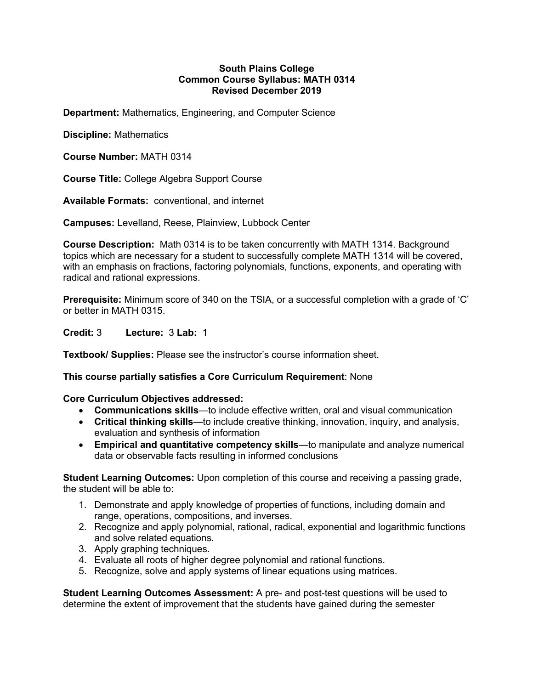## **South Plains College Common Course Syllabus: MATH 0314 Revised December 2019**

**Department:** Mathematics, Engineering, and Computer Science

**Discipline:** Mathematics

**Course Number:** MATH 0314

**Course Title:** College Algebra Support Course

**Available Formats:** conventional, and internet

**Campuses:** Levelland, Reese, Plainview, Lubbock Center

**Course Description:** Math 0314 is to be taken concurrently with MATH 1314. Background topics which are necessary for a student to successfully complete MATH 1314 will be covered, with an emphasis on fractions, factoring polynomials, functions, exponents, and operating with radical and rational expressions.

**Prerequisite:** Minimum score of 340 on the TSIA, or a successful completion with a grade of 'C' or better in MATH 0315.

**Credit:** 3 **Lecture:** 3 **Lab:** 1

**Textbook/ Supplies:** Please see the instructor's course information sheet.

**This course partially satisfies a Core Curriculum Requirement**: None

**Core Curriculum Objectives addressed:**

- **Communications skills**—to include effective written, oral and visual communication
- **Critical thinking skills**—to include creative thinking, innovation, inquiry, and analysis, evaluation and synthesis of information
- **Empirical and quantitative competency skills**—to manipulate and analyze numerical data or observable facts resulting in informed conclusions

**Student Learning Outcomes:** Upon completion of this course and receiving a passing grade, the student will be able to:

- 1. Demonstrate and apply knowledge of properties of functions, including domain and range, operations, compositions, and inverses.
- 2. Recognize and apply polynomial, rational, radical, exponential and logarithmic functions and solve related equations.
- 3. Apply graphing techniques.
- 4. Evaluate all roots of higher degree polynomial and rational functions.
- 5. Recognize, solve and apply systems of linear equations using matrices.

**Student Learning Outcomes Assessment:** A pre- and post-test questions will be used to determine the extent of improvement that the students have gained during the semester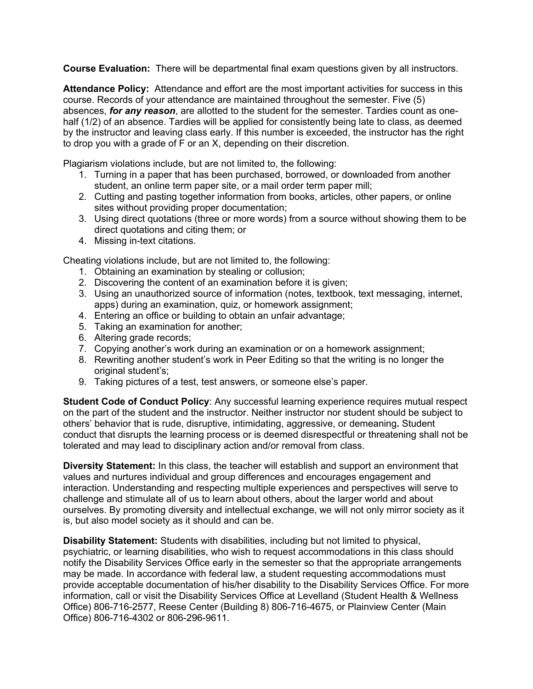**Course Evaluation:** There will be departmental final exam questions given by all instructors.

**Attendance Policy:** Attendance and effort are the most important activities for success in this course. Records of your attendance are maintained throughout the semester. Five (5) absences, *for any reason*, are allotted to the student for the semester. Tardies count as onehalf (1/2) of an absence. Tardies will be applied for consistently being late to class, as deemed by the instructor and leaving class early. If this number is exceeded, the instructor has the right to drop you with a grade of F or an X, depending on their discretion.

Plagiarism violations include, but are not limited to, the following:

- 1. Turning in a paper that has been purchased, borrowed, or downloaded from another student, an online term paper site, or a mail order term paper mill;
- 2. Cutting and pasting together information from books, articles, other papers, or online sites without providing proper documentation;
- 3. Using direct quotations (three or more words) from a source without showing them to be direct quotations and citing them; or
- 4. Missing in-text citations.

Cheating violations include, but are not limited to, the following:

- 1. Obtaining an examination by stealing or collusion;
- 2. Discovering the content of an examination before it is given;
- 3. Using an unauthorized source of information (notes, textbook, text messaging, internet, apps) during an examination, quiz, or homework assignment;
- 4. Entering an office or building to obtain an unfair advantage;
- 5. Taking an examination for another;
- 6. Altering grade records;
- 7. Copying another's work during an examination or on a homework assignment;
- 8. Rewriting another student's work in Peer Editing so that the writing is no longer the original student's;
- 9. Taking pictures of a test, test answers, or someone else's paper.

**Student Code of Conduct Policy:** Any successful learning experience requires mutual respect on the part of the student and the instructor. Neither instructor nor student should be subject to others' behavior that is rude, disruptive, intimidating, aggressive, or demeaning**.** Student conduct that disrupts the learning process or is deemed disrespectful or threatening shall not be tolerated and may lead to disciplinary action and/or removal from class.

**Diversity Statement:** In this class, the teacher will establish and support an environment that values and nurtures individual and group differences and encourages engagement and interaction. Understanding and respecting multiple experiences and perspectives will serve to challenge and stimulate all of us to learn about others, about the larger world and about ourselves. By promoting diversity and intellectual exchange, we will not only mirror society as it is, but also model society as it should and can be.

**Disability Statement:** Students with disabilities, including but not limited to physical, psychiatric, or learning disabilities, who wish to request accommodations in this class should notify the Disability Services Office early in the semester so that the appropriate arrangements may be made. In accordance with federal law, a student requesting accommodations must provide acceptable documentation of his/her disability to the Disability Services Office. For more information, call or visit the Disability Services Office at Levelland (Student Health & Wellness Office) 806-716-2577, Reese Center (Building 8) 806-716-4675, or Plainview Center (Main Office) 806-716-4302 or 806-296-9611.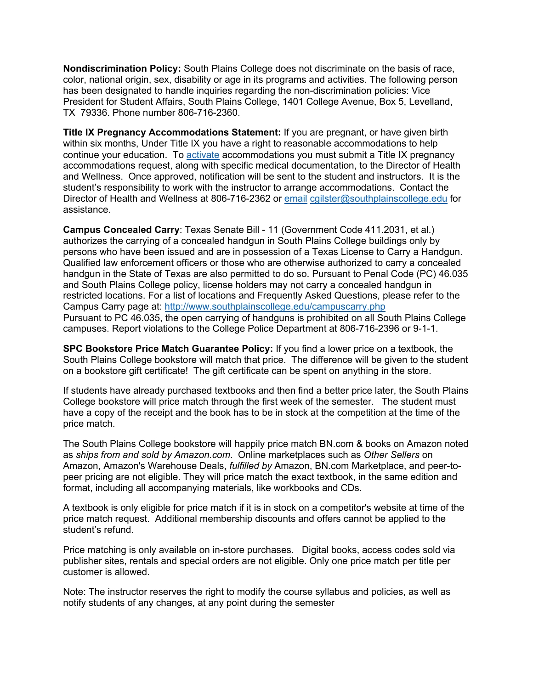**Nondiscrimination Policy:** South Plains College does not discriminate on the basis of race, color, national origin, sex, disability or age in its programs and activities. The following person has been designated to handle inquiries regarding the non-discrimination policies: Vice President for Student Affairs, South Plains College, 1401 College Avenue, Box 5, Levelland, TX 79336. Phone number 806-716-2360.

**Title IX Pregnancy Accommodations Statement:** If you are pregnant, or have given birth within six months, Under Title IX you have a right to reasonable accommodations to help continue your education. To activate accommodations you must submit a Title IX pregnancy accommodations request, along with specific medical documentation, to the Director of Health and Wellness. Once approved, notification will be sent to the student and instructors. It is the student's responsibility to work with the instructor to arrange accommodations. Contact the Director of Health and Wellness at 806-716-2362 or email cgilster@southplainscollege.edu for assistance.

**Campus Concealed Carry**: Texas Senate Bill - 11 (Government Code 411.2031, et al.) authorizes the carrying of a concealed handgun in South Plains College buildings only by persons who have been issued and are in possession of a Texas License to Carry a Handgun. Qualified law enforcement officers or those who are otherwise authorized to carry a concealed handgun in the State of Texas are also permitted to do so. Pursuant to Penal Code (PC) 46.035 and South Plains College policy, license holders may not carry a concealed handgun in restricted locations. For a list of locations and Frequently Asked Questions, please refer to the Campus Carry page at: http://www.southplainscollege.edu/campuscarry.php Pursuant to PC 46.035, the open carrying of handguns is prohibited on all South Plains College campuses. Report violations to the College Police Department at 806-716-2396 or 9-1-1.

**SPC Bookstore Price Match Guarantee Policy:** If you find a lower price on a textbook, the South Plains College bookstore will match that price. The difference will be given to the student on a bookstore gift certificate! The gift certificate can be spent on anything in the store.

If students have already purchased textbooks and then find a better price later, the South Plains College bookstore will price match through the first week of the semester. The student must have a copy of the receipt and the book has to be in stock at the competition at the time of the price match.

The South Plains College bookstore will happily price match BN.com & books on Amazon noted as *ships from and sold by Amazon.com*. Online marketplaces such as *Other Sellers* on Amazon, Amazon's Warehouse Deals, *fulfilled by* Amazon, BN.com Marketplace, and peer-topeer pricing are not eligible. They will price match the exact textbook, in the same edition and format, including all accompanying materials, like workbooks and CDs.

A textbook is only eligible for price match if it is in stock on a competitor's website at time of the price match request. Additional membership discounts and offers cannot be applied to the student's refund.

Price matching is only available on in-store purchases. Digital books, access codes sold via publisher sites, rentals and special orders are not eligible. Only one price match per title per customer is allowed.

Note: The instructor reserves the right to modify the course syllabus and policies, as well as notify students of any changes, at any point during the semester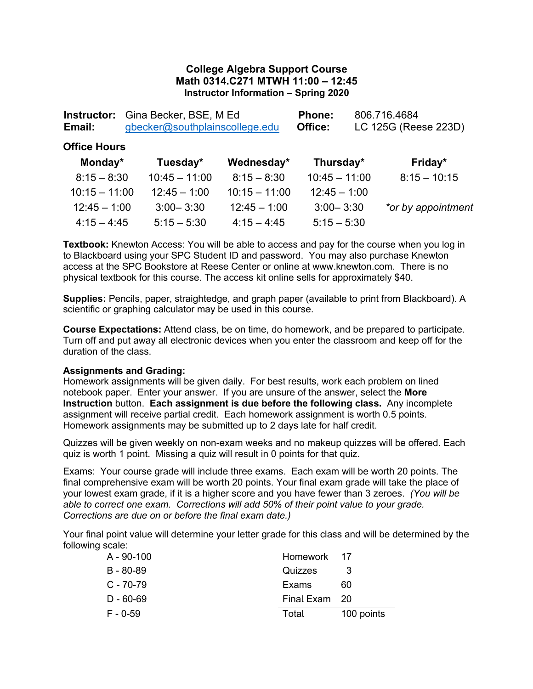## **College Algebra Support Course Math 0314.C271 MTWH 11:00 – 12:45 Instructor Information – Spring 2020**

| Instructor:<br>Email: | Gina Becker, BSE, M Ed<br>gbecker@southplainscollege.edu |                 | Phone:<br>Office: | 806.716.4684<br>LC 125G (Reese 223D) |  |
|-----------------------|----------------------------------------------------------|-----------------|-------------------|--------------------------------------|--|
| <b>Office Hours</b>   |                                                          |                 |                   |                                      |  |
| Monday*               | Tuesday*                                                 | Wednesday*      | Thursday*         | Friday*                              |  |
| $8:15 - 8:30$         | $10:45 - 11:00$                                          | $8:15 - 8:30$   | $10:45 - 11:00$   | $8:15 - 10:15$                       |  |
| $10:15 - 11:00$       | $12:45 - 1:00$                                           | $10:15 - 11:00$ | $12:45 - 1:00$    |                                      |  |
| $12:45 - 1:00$        | $3:00 - 3:30$                                            | $12:45 - 1:00$  | $3:00 - 3:30$     | *or by appointment                   |  |
| $4:15 - 4:45$         | $5:15 - 5:30$                                            | $4:15 - 4:45$   | $5:15 - 5:30$     |                                      |  |

**Textbook:** Knewton Access: You will be able to access and pay for the course when you log in to Blackboard using your SPC Student ID and password. You may also purchase Knewton access at the SPC Bookstore at Reese Center or online at www.knewton.com. There is no physical textbook for this course. The access kit online sells for approximately \$40.

**Supplies:** Pencils, paper, straightedge, and graph paper (available to print from Blackboard). A scientific or graphing calculator may be used in this course.

**Course Expectations:** Attend class, be on time, do homework, and be prepared to participate. Turn off and put away all electronic devices when you enter the classroom and keep off for the duration of the class.

## **Assignments and Grading:**

Homework assignments will be given daily. For best results, work each problem on lined notebook paper. Enter your answer. If you are unsure of the answer, select the **More Instruction** button. **Each assignment is due before the following class.** Any incomplete assignment will receive partial credit. Each homework assignment is worth 0.5 points. Homework assignments may be submitted up to 2 days late for half credit.

Quizzes will be given weekly on non-exam weeks and no makeup quizzes will be offered. Each quiz is worth 1 point. Missing a quiz will result in 0 points for that quiz.

Exams: Your course grade will include three exams. Each exam will be worth 20 points. The final comprehensive exam will be worth 20 points. Your final exam grade will take the place of your lowest exam grade, if it is a higher score and you have fewer than 3 zeroes. *(You will be able to correct one exam. Corrections will add 50% of their point value to your grade. Corrections are due on or before the final exam date.)*

Your final point value will determine your letter grade for this class and will be determined by the following scale:

| A - 90-100    | Homework 17   |            |
|---------------|---------------|------------|
| $B - 80 - 89$ | Quizzes       | 3          |
| $C - 70 - 79$ | Exams         | 60         |
| $D - 60 - 69$ | Final Exam 20 |            |
| $F - 0-59$    | Total         | 100 points |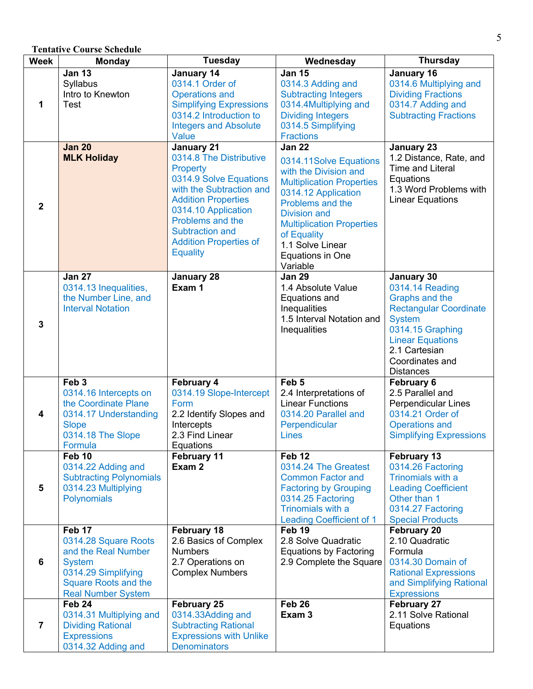## **Tentative Course Schedule**

| <b>Week</b>    | <b>Monday</b>                                      | <b>Tuesday</b>                              | Wednesday                                       | <b>Thursday</b>                                         |
|----------------|----------------------------------------------------|---------------------------------------------|-------------------------------------------------|---------------------------------------------------------|
|                | <b>Jan 13</b>                                      | January 14                                  | <b>Jan 15</b>                                   | January 16                                              |
|                | Syllabus                                           | 0314.1 Order of                             | 0314.3 Adding and                               | 0314.6 Multiplying and                                  |
|                | Intro to Knewton                                   | <b>Operations and</b>                       | <b>Subtracting Integers</b>                     | <b>Dividing Fractions</b>                               |
| 1              | Test                                               | <b>Simplifying Expressions</b>              | 0314.4Multiplying and                           | 0314.7 Adding and                                       |
|                |                                                    | 0314.2 Introduction to                      | <b>Dividing Integers</b>                        | <b>Subtracting Fractions</b>                            |
|                |                                                    | <b>Integers and Absolute</b>                | 0314.5 Simplifying                              |                                                         |
|                |                                                    | Value                                       | <b>Fractions</b>                                |                                                         |
|                | <b>Jan 20</b>                                      | <b>January 21</b>                           | <b>Jan 22</b>                                   | <b>January 23</b>                                       |
|                | <b>MLK Holiday</b>                                 | 0314.8 The Distributive<br>Property         | 0314.11Solve Equations                          | 1.2 Distance, Rate, and<br>Time and Literal             |
|                |                                                    | 0314.9 Solve Equations                      | with the Division and                           | Equations                                               |
|                |                                                    | with the Subtraction and                    | <b>Multiplication Properties</b>                | 1.3 Word Problems with                                  |
|                |                                                    | <b>Addition Properties</b>                  | 0314.12 Application                             | <b>Linear Equations</b>                                 |
| $\overline{2}$ |                                                    | 0314.10 Application                         | Problems and the                                |                                                         |
|                |                                                    | Problems and the                            | <b>Division and</b>                             |                                                         |
|                |                                                    | Subtraction and                             | <b>Multiplication Properties</b><br>of Equality |                                                         |
|                |                                                    | <b>Addition Properties of</b>               | 1.1 Solve Linear                                |                                                         |
|                |                                                    | <b>Equality</b>                             | Equations in One                                |                                                         |
|                |                                                    |                                             | Variable                                        |                                                         |
|                | <b>Jan 27</b>                                      | <b>January 28</b>                           | <b>Jan 29</b>                                   | January 30                                              |
|                | 0314.13 Inequalities,                              | Exam 1                                      | 1.4 Absolute Value                              | 0314.14 Reading                                         |
|                | the Number Line, and                               |                                             | Equations and                                   | Graphs and the                                          |
|                | <b>Interval Notation</b>                           |                                             | Inequalities                                    | <b>Rectangular Coordinate</b>                           |
| $\mathbf{3}$   |                                                    |                                             | 1.5 Interval Notation and                       | <b>System</b>                                           |
|                |                                                    |                                             | Inequalities                                    | 0314.15 Graphing                                        |
|                |                                                    |                                             |                                                 | <b>Linear Equations</b>                                 |
|                |                                                    |                                             |                                                 | 2.1 Cartesian<br>Coordinates and                        |
|                |                                                    |                                             |                                                 | <b>Distances</b>                                        |
|                | Feb <sub>3</sub>                                   | <b>February 4</b>                           | Feb <sub>5</sub>                                | February 6                                              |
|                | 0314.16 Intercepts on                              | 0314.19 Slope-Intercept                     | 2.4 Interpretations of                          | 2.5 Parallel and                                        |
|                | the Coordinate Plane                               | Form                                        | <b>Linear Functions</b>                         | Perpendicular Lines                                     |
| 4              | 0314.17 Understanding                              | 2.2 Identify Slopes and                     | 0314.20 Parallel and                            | 0314.21 Order of                                        |
|                | <b>Slope</b>                                       | Intercepts                                  | Perpendicular                                   | <b>Operations and</b>                                   |
|                | 0314.18 The Slope                                  | 2.3 Find Linear                             | <b>Lines</b>                                    | <b>Simplifying Expressions</b>                          |
|                | Formula<br>Feb 10                                  | Equations<br>February 11                    | Feb <sub>12</sub>                               | February 13                                             |
|                | 0314.22 Adding and                                 | Exam 2                                      | 0314.24 The Greatest                            | 0314.26 Factoring                                       |
|                | <b>Subtracting Polynomials</b>                     |                                             | <b>Common Factor and</b>                        | Trinomials with a                                       |
| 5              | 0314.23 Multiplying                                |                                             | <b>Factoring by Grouping</b>                    | <b>Leading Coefficient</b>                              |
|                | Polynomials                                        |                                             | 0314.25 Factoring                               | Other than 1                                            |
|                |                                                    |                                             | Trinomials with a                               | 0314.27 Factoring                                       |
|                |                                                    |                                             | <b>Leading Coefficient of 1</b>                 | <b>Special Products</b>                                 |
|                | Feb 17                                             | February 18                                 | Feb 19                                          | <b>February 20</b>                                      |
|                | 0314.28 Square Roots                               | 2.6 Basics of Complex                       | 2.8 Solve Quadratic                             | 2.10 Quadratic                                          |
|                | and the Real Number                                | <b>Numbers</b>                              | <b>Equations by Factoring</b>                   | Formula                                                 |
| 6              | <b>System</b>                                      | 2.7 Operations on<br><b>Complex Numbers</b> | 2.9 Complete the Square                         | 0314.30 Domain of                                       |
|                | 0314.29 Simplifying<br><b>Square Roots and the</b> |                                             |                                                 | <b>Rational Expressions</b><br>and Simplifying Rational |
|                | <b>Real Number System</b>                          |                                             |                                                 | <b>Expressions</b>                                      |
|                | Feb 24                                             | February 25                                 | Feb 26                                          | <b>February 27</b>                                      |
|                | 0314.31 Multiplying and                            | 0314.33Adding and                           | Exam <sub>3</sub>                               | 2.11 Solve Rational                                     |
| $\overline{7}$ | <b>Dividing Rational</b>                           | <b>Subtracting Rational</b>                 |                                                 | Equations                                               |
|                | <b>Expressions</b>                                 | <b>Expressions with Unlike</b>              |                                                 |                                                         |
|                | 0314.32 Adding and                                 | <b>Denominators</b>                         |                                                 |                                                         |